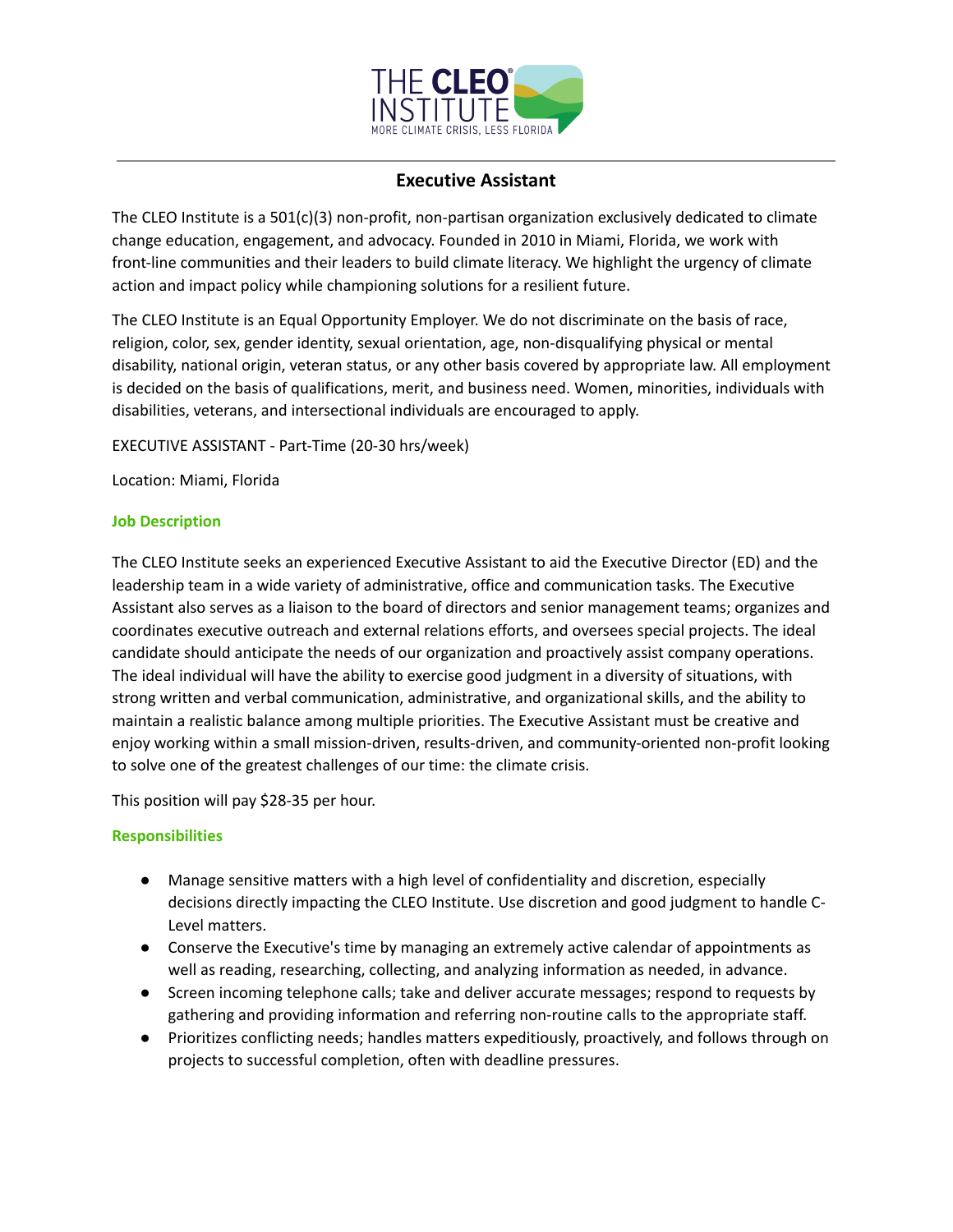

## **Executive Assistant**

The CLEO Institute is a 501(c)(3) non-profit, non-partisan organization exclusively dedicated to climate change education, engagement, and advocacy. Founded in 2010 in Miami, Florida, we work with front-line communities and their leaders to build climate literacy. We highlight the urgency of climate action and impact policy while championing solutions for a resilient future.

The CLEO Institute is an Equal Opportunity Employer. We do not discriminate on the basis of race, religion, color, sex, gender identity, sexual orientation, age, non-disqualifying physical or mental disability, national origin, veteran status, or any other basis covered by appropriate law. All employment is decided on the basis of qualifications, merit, and business need. Women, minorities, individuals with disabilities, veterans, and intersectional individuals are encouraged to apply.

EXECUTIVE ASSISTANT - Part-Time (20-30 hrs/week)

Location: Miami, Florida

## **Job Description**

The CLEO Institute seeks an experienced Executive Assistant to aid the Executive Director (ED) and the leadership team in a wide variety of administrative, office and communication tasks. The Executive Assistant also serves as a liaison to the board of directors and senior management teams; organizes and coordinates executive outreach and external relations efforts, and oversees special projects. The ideal candidate should anticipate the needs of our organization and proactively assist company operations. The ideal individual will have the ability to exercise good judgment in a diversity of situations, with strong written and verbal communication, administrative, and organizational skills, and the ability to maintain a realistic balance among multiple priorities. The Executive Assistant must be creative and enjoy working within a small mission-driven, results-driven, and community-oriented non-profit looking to solve one of the greatest challenges of our time: the climate crisis.

This position will pay \$28-35 per hour.

## **Responsibilities**

- Manage sensitive matters with a high level of confidentiality and discretion, especially decisions directly impacting the CLEO Institute. Use discretion and good judgment to handle C-Level matters.
- Conserve the Executive's time by managing an extremely active calendar of appointments as well as reading, researching, collecting, and analyzing information as needed, in advance.
- Screen incoming telephone calls; take and deliver accurate messages; respond to requests by gathering and providing information and referring non-routine calls to the appropriate staff.
- Prioritizes conflicting needs; handles matters expeditiously, proactively, and follows through on projects to successful completion, often with deadline pressures.